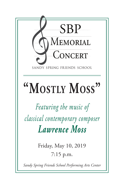

*Sandy Spring Friends School Performing Arts Center*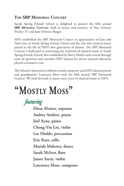### **The SBP Memorial Concert**

Sandy Spring Friends School is delighted to present the fifth annual **SBP Memorial Concert**, held in honor and memory of Nan Schwarz Pricher '67 and Jane Schwarz Binger.

SSFS established the SBP Memorial Concert in appreciation of Jane and Nan's love of Sandy Spring Friends School and the role that classical music played in the life of SSFS's first generation of alumni. The SBP Memorial Concert is dedicated to continuing the tradition of classical music at Sandy Spring Friends School, first established by Barry Morley and carried through years of operettas and countless SSFS alumni for whom musical education played a formative role.

The School is honored to celebrate noted composer (and SSFS alumni parent and grandparent) Lawrence Moss with the fifth annual SBP Memorial Concert. We look forward to many more years of classical music at SSFS.

# **"Mostly Moss"**

*featuring*

**Elissa Alvarez, soprano Audrey Andrist, piano Joel Ayau, piano Cheng-Yin Lin, violin Lee Hinkle, percussion Eric Kutz, cello Mariah Maloney, dance Sarah McIver, flute James Stern, violin Lawrence Moss, composer**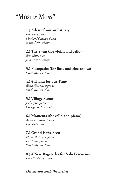#### **1.) Advice from an Estuary**

*Eric Kutz, cello Mariah Maloney, dance James Stern, violin*

## **2.) The Swan (for violin and cello)**

*Eric Kutz, cello James Stern, violin*

### **3.) Flutepaths (for flute and electronics)**

*Sarah McIver, flute*

#### **4.) 4 Haiku for our Time**

*Elissa Alvarez, soprano Sarah McIver, flute*

#### **5.) Village Scenes**

*Joel Ayau, piano Cheng-Yin Lin, violin*

#### **6.) Moments (for cello and piano)**

*Audrey Andrist, piano Eric Kutz, cello*

#### **7.) Grand is the Seen**

*Elissa Alvarez, soprano Joel Ayau, piano Sarah McIver, flute*

#### **8.) 4 New Bagatelles for Solo Percussion**

*Lee Hinkle, percussion*

#### *Discussion with the artists*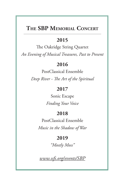# **The SBP Memorial Concert**

### **2015**

The Oakridge String Quartet *An Evening of Musical Treasures, Past to Present*

## **2016**

PostClassical Ensemble *Deep River - The Art of the Spiritual*

## **2017**

Sonic Escape *Finding Your Voice*

# **2018**

PostClassical Ensemble

*Music in the Shadow of War*

# **2019**

*"Mostly Moss"*

*www.ssfs.org/events/SBP*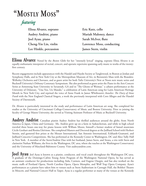# *featuring*

**Elissa Alvarez, soprano Audrey Andrist, piano Joel Ayau, piano Cheng-Yin Lin, violin Lee Hinkle, percussion**

**Eric Kutz, cello Mariah Maloney, dance Sarah McIver, flute Lawrence Moss, conducting James Stern, violin**

**Elissa Alvarez** Noted by the *Boston Globe* for her "intensely lyrical" singing, soprano Elissa Alvarez is an equally enthusiastic interpreter of recital, concert, and operatic repertoire spanning early music to works of the twentyfirst century.

Recent engagements include appearances with the Handel and Haydn Society at Tanglewood, in Boston at Jordan and Symphony Halls, and in New York City at the Metropolitan Museum of Art, in Bernstein's Mass with the Brandeis-Wellesley Orchestra and Choruses, and as guest artist for both Tufts University's New at Noon new music series and Bucknell University's Debussy Centenary Symposium. She also performed as guest artist the Piano in the Arts Concert Series at Armstrong State University in Savannah, GA and in "The Ghosts of Weimar," a cabaret performance at the University of Delaware, "Una Voz, Un Mundo," a celebration of Latin American song for Latin American Heritage Month in New York City, and reprised the voice of Anne Frank in James Whitbourn's *Annelies: The Diary of Anne Frank* with the New England Classical Singers, a work she previously interpreted with Coro Allegro and the Handel Society of Dartmouth.

Dr. Alvarez is particularly interested in the study and performance of Latin American art song. She completed her studies at the University of Cincinnati College-Conservatory of Music and Boston University. Prior to joining the faculty of George Mason University, she served as Visiting Assistant Professor of Music at Bucknell University.

Audrey Andrist Canadian pianist Audrey Andrist has thrilled audiences around the globe, from North America to Japan, China and Germany. Ms. Andrist grew up on a farm in Saskatchewan, and while in high school traveled three hours one-way for piano lessons with William Moore, himself a former student of famed musicians Cécile Genhart and Rosina Lhévinne. She completed Masters and Doctoral degrees at the Juilliard School with Herbert Stessin, and garnered first prizes at the Mozart International, San Antonio International, Eckhardt-Gramatté, and Juilliard Concerto Competitions. She has performed at the Kennedy Center in Washington, DC and Alice Tully Hall in New York. A member of the Stern/Andrist Duo with her husband, James Stern, and Strata, a trio with Stern and clarinetist Nathan Williams, she lives in the Washington, DC area, where she teaches at the Washington Conservatory and the University of Maryland-Baltimore County. Visit audreyandrist.com.

**Joel Ayau** Joel Ayau is known as a pianist, conductor, and vocal coach throughout the Washington DC-area. A graduate of the Domingo-Cafritz Young Artist Program of the Washington National Opera, he has served as an assistant conductor for productions including Aida, Carmen, and Eugene Onegin, and has also worked on the music staffs of Portland Opera, North Carolina Opera, Opera Memphis, and Wolf Trap Opera Company. Ayau's performances as a pianist have taken him to venues such as Stern Auditorium in Carnegie Hall, the Bolshoi Theatre in Moscow, and National Concert Hall in Taipei. Ayau is a regular performer at many of the venues at the Kennedy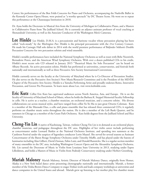Center; his performances of the Ben Folds Concerto for Piano and Orchestra, accompanying the Nashville Ballet in the Kennedy Center Opera House, were praised as "a worthy spectacle" by DC Theatre Scene. He went on to repeat this perforamnce at the Chautauqua Institution in 2018.

Dr. Ayau holds the Doctorate in Musical Arts from the University of Michigan in Collaborative Piano, and a Masters in Collaborative Piano from The Juilliard School. He is currently an adjunct assistant professor of vocal coaching at Shenandoah University, as well as the Associate Conductor of the Washington Men's Camerata.

Lee Hinkle Lee Hinkle, D.M.A. is a percussionist and baritone vocalist whose percussion playing has been called "rock-steady" by the *Washington Post*. Hinkle is the principal percussionist with the 21st Century Consort. He made his Carnegie Hall solo debut in 2014 with the world premiere performance of Baljinder Sekhon's Double Percussion Concerto for two percussion soloists and wind ensemble.

Hinkle's notable performances have included the National Symphony Orchestra as well as tours with Bebe Neuwirth, Bernadette Peters, and the American Wind Symphony Orchestra. With over a dozen published CDs to his credit, Hinkle's most recent solo CD released in January 2015 "Theatrical Music for Solo Percussion" can be heard on Albany Records. An active percussion soloist, Hinkle has performed at universities, conservatories, and festivals both nationally and internationally as well as three Percussive Arts Society International Conventions.

Hinkle currently serves on the faculty at the University of Maryland where he is Co-Director of Percussion Studies. He also serves on the Percussive Arts Society's New Music/Research Committee and is the President of the MD/DE Chapter of the Percussive Arts Society. Hinkle is a Yamaha Performing Artist and proudly endorses Remo, Innovative Percussion, and Grover Pro Percussion. To learn more about Lee, visit www.leehinkle.com.

**Eric Kutz** Cellist Eric Kutz has captivated audiences across North America, Asia, and Europe. He is on the faculty of University of Maryland School of Music, where he holds the Barbara K. Steppel Memorial Faculty Fellowship in cello. He is active as a teacher, a chamber musician, an orchestral musician, and a concerto soloist. His diverse collaborations cut across musical styles, and have ranged from cellist Yo-Yo Ma to jazz great Ornette Coleman. Kutz is a member of the Murasaki Duo, a cello and piano ensemble that has released three commercial CD's; it regularly performs on chamber music series throughout the nation. He is also a member of the Left Bank Quartet, and he summers in Chicago as a member of the Grant Park Orchestra. Kutz holds degrees from the Juilliard School and Rice University.

**Cheng-Yin Lin** A native of Kaohsiung, Taiwan, violinist Cheng-Yin Lin is in demand as an orchestral player, chamber musician, and pedagogue throughout the DC area. Highlights of her violin career include performing as concertmaster under Leonard Slatkin at the National Orchestra Institute, and spending two summers at the Castleton Festival under the auspices of legendary conductor Lorin Maazel. She served for several seasons as Assistant Concertmaster of the Baton Rouge Symphony Orchestra under Timothy Muffit, and has played under the batons of luminaries including Alan Gilbert, David Zinman, Fabio Luisi, and Donald Runnicles. She is a regular section member of many ensembles in the DC area, including Washington Concert Opera and the Alexandria Symphony Orchestra. Ms. Lin earned the Doctorate of Music in Violin from Lousiana State University in 2013, studying under Espen Lilleslåtten, and holds a Masters of Music in Violin from Peabody Conservatory studying under Herbert Greenberg.

**Mariah Maloney** Mariah Maloney, Artistic Director of Mariah Maloney Dance, originally from Homer, Alaska is a New York based dance artist presenting choreography nationally and internationally. Mariah, a former member of the Trisha Brown Dance Company re-stages Trisha's work and leads company workshops at universities and dance companies in the United States and abroad. Mariah grew up listening to her mother play live chamber music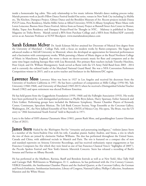inside a homesteader log cabin. This early relationship to live music informs Mariah's dance making process today. Mariah presents work at Jacob's Pillow Dance Festival Inside/Out series, venues in New York City including La MaMa etc, The Kitchen, Danspace Project, Gibney Dance and the Brooklyn Museum of Art. Recent projects include Danza PUCP Lima, Peru Residency, Marlin Miller Series at Alfred University; NYSCA Albany Symphony Water Music with Loren Loiacono; Buenos Aires Dance Festival, Advice from an Estuary Project at Bunnell Street Arts Center in Homer, Alaska, Topaz Arts Residency and Danspace Project/Food for Thought in NYC. Maloney is published in Dance Magazine on Trisha Brown. Mariah earned a BFA from Purchase College and a MFA from Hollins/ADF currently serves as an Associate Professor at SUNY Brockport. www.mariahmaloneydance.com

**Sarah Eckman McIver** Dr. Sarah Eckman McIver attained her Doctorate of Musical Arts degree from the University of Maryland – College Park, with a focus on modern works by flutist-composers. She began her advanced studies at McGill University in Montreal, where she developed an appreciation for historical performances and a fascination with contemporary works. While pursuing a Master of Music degree at the Royal Northern College of Music in Manchester, England, she wrote a thesis on electro-acoustic music for flute and computers and at the same time began studying baroque flute with Lisa Beznosiuk. Her primary flute teachers include Timothy Hutchins, Peter Lloyd, and Dr. William Montgomery. Sarah served as flutist with the US Army Field Band from 2003 - 2014 and is currently the enlisted leader of the Maryland National Guard Band. She was a NFA Convention Performers Competition winner in 2015, and is an active teacher and freelancer in the Baltimore/DC region.

Lawrence Moss Lawrence Moss was born in 1927 in Los Angeles and received his doctorate from the University of Southern California in 1957. He has been a professor of composition at Mills College (1956-58), Yale University (1960-1968), and University of Maryland (1969-2015) where he received a Distinguished Scholar/Teacher Award (1982) and upon retirement was elected Professor Emeritus.

He has held grants from the Guggenheim Foundation (1959, 1968) and the Fulbright Association (1953). His works have been performed by such distinguished performers as Phyllis Bryn-Julson, Harry Sparnaay, Esther Samneck and Chris Gekker. Performing groups have included the Baltimore Symphony, Theater Chamber Players of Kennedy Center, Continuum, Speculum Musicae, The Left Bank Concert Society, Verge Ensemble at the Corcoran Gallery, Washington, DC, the New Julliard Ensemble of New York, ONYX of Mexico City. His opera, The Brute, was the US entry to "20th International Youth Festival" held in Bayreuth in 1971.

Larry is the father of SSFS alumna Claramarie Moss (1981), parent Ruth Moss, and granddaughter Lauren Gherman (Class of 2021).

**James Stern** Hailed by the *Washington Post* for "virtuosity and penetrating intelligence," violinist James Stern is a member of the Stern/Andrist Duo with his wife, Canadian pianist Audrey Andrist, and Strata, a trio in which the two of them are joined by clarinetist Nathan Williams. The duo has performed throughout the United States, Canada and China, with additional recitals in Munich and Paris. The trio is featured on a compact disc of new and standard repertoire on Arizona University Recordings, and has received enthusiastic repeat engagements at San Francisco Composers Inc (for which they were listed as one of San Francisco Classical Voice's "highlights of 2005"), the Piccolo Spoleto Festival and New York's historic Maverick Concerts. Stern has released a recording of Bach's Sonatas and Partitas on Albany Records.

He has performed at the Marlboro, Ravinia, Banff and Bowdoin festivals as well as at New York's Alice Tully Hall and Carnegie Hall. Well-known to Washington, D. C. audiences, he has performed with the 21st Century Consort, VERGE Ensemble, the Smithsonian Chamber Players and the Axelrod Quartet, at the Corcoran Gallery, the German and French Embassies, Smithsonian Institution, Library of Congress, National Gallery, Phillips Collection, Strathmore Mansion and the White House.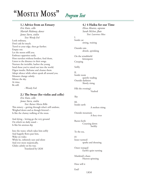# *Program Text*

#### **1.) Advice from an Estuary**

*Eric Kutz, cello Mariah Maloney, dance James Stern, violin Text: Wendy Erd* Look ordinary, Don't ask for much. Travel to your edge, then go further. Empty out. Let the moon refill you. Embrace opposites easily. Host travelers without borders, feed them, Listen to the distance in their songs. Nurture the invisible, harbor the young Send those you've raised out into the world. Digest insults. Reframe and cleanse them. Adopt silence while others speak all around you. Measure change calmly. Mirror the sky. At time, Be still. --Wendy Erd

#### **2.) The Swan (for violin and cello)**

*Eric Kutz, cello James Stern, violin Text: Rainer Maria Rilke* This misery – getting through what's still undone, Weighed down and as though fettered – Is like the clumsy walking of the swan.

And dying – letting go the very ground On which we daily stand – Is like his anxious dip

Into the water, which takes him softly And happily flows past him, Wake on wake; While he, infinitely sure and silent And ever more majestically, Glides calmly on his way. Translated by LKM

### **4.) 4 Haiku for our Time**

*Elissa Alvarez, soprano Sarah McIver, flute Text: Lawrence Moss*

I. Inside car sitting, waiting

Outside rain drizzle, sprinking

On the windshield kittenpaws Creeping

Softly

II. Inside room quietly reading Outside darkness Slowly rising

Fills the evening's Vaulted

Sky

III. Inside earth A molten rising

Outside mountain A fiery river

Bursts forth Coursing down Swiftly

To the sea,

IV Inner turmoil sparks and shouting

Outer tranquil Earth's quiet turning

Mankind's chaos Heaven spinning

How will it

End?

LKM